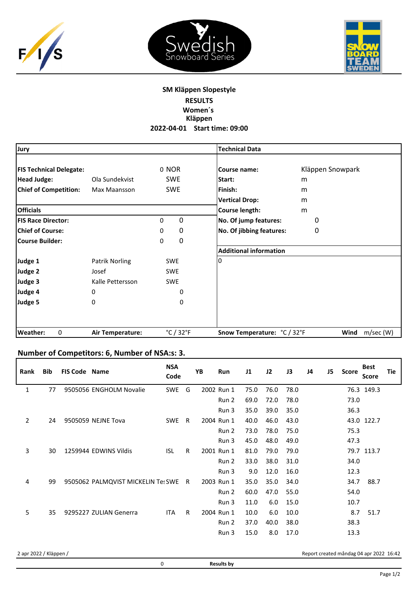





## **SM Kläppen Slopestyle RESULTS Women´s Kläppen 2022‐04‐01 Start time: 09:00**

| Jury                           |                  |                                | <b>Technical Data</b>         |                   |
|--------------------------------|------------------|--------------------------------|-------------------------------|-------------------|
| <b>FIS Technical Delegate:</b> |                  | 0 NOR                          | Course name:                  | Kläppen Snowpark  |
| <b>Head Judge:</b>             | Ola Sundekvist   | <b>SWE</b>                     | Start:                        | m                 |
| <b>Chief of Competition:</b>   | Max Maansson     | <b>SWE</b>                     | Finish:                       | m                 |
|                                |                  |                                | <b>Vertical Drop:</b>         | m                 |
| <b>Officials</b>               |                  |                                | Course length:                | m                 |
| <b>FIS Race Director:</b>      |                  | 0<br>0                         | No. Of jump features:         | 0                 |
| <b>Chief of Course:</b>        |                  | 0<br>0                         | No. Of jibbing features:      | 0                 |
| <b>Course Builder:</b>         |                  | 0<br>0                         |                               |                   |
|                                |                  |                                | <b>Additional information</b> |                   |
| Judge 1                        | Patrik Norling   | <b>SWE</b>                     | 0                             |                   |
| Judge 2                        | Josef            | <b>SWE</b>                     |                               |                   |
| Judge 3                        | Kalle Pettersson | <b>SWE</b>                     |                               |                   |
| Judge 4                        | 0                | 0                              |                               |                   |
| Judge 5                        | 0                | 0                              |                               |                   |
| <b>Weather:</b><br>0           | Air Temperature: | $^{\circ}$ C / 32 $^{\circ}$ F | Snow Temperature: °C / 32°F   | Wind<br>m/sec (W) |

## **Number of Competitors: 6, Number of NSA:s: 3.**

| <b>Bib</b> |  | <b>NSA</b><br>Code                                                                                                       |                                    | YB | <b>Run</b> | 11                                                                 | J2   | J3   | J4 | J5 | Score |      | Tie                                                                   |
|------------|--|--------------------------------------------------------------------------------------------------------------------------|------------------------------------|----|------------|--------------------------------------------------------------------|------|------|----|----|-------|------|-----------------------------------------------------------------------|
| 77         |  | SWE                                                                                                                      | G                                  |    |            | 75.0                                                               | 76.0 | 78.0 |    |    |       |      |                                                                       |
|            |  |                                                                                                                          |                                    |    | Run 2      | 69.0                                                               | 72.0 | 78.0 |    |    | 73.0  |      |                                                                       |
|            |  |                                                                                                                          |                                    |    | Run 3      | 35.0                                                               | 39.0 | 35.0 |    |    | 36.3  |      |                                                                       |
| 24         |  | SWE                                                                                                                      | R                                  |    |            | 40.0                                                               | 46.0 | 43.0 |    |    |       |      |                                                                       |
|            |  |                                                                                                                          |                                    |    | Run 2      | 73.0                                                               | 78.0 | 75.0 |    |    | 75.3  |      |                                                                       |
|            |  |                                                                                                                          |                                    |    | Run 3      | 45.0                                                               | 48.0 | 49.0 |    |    | 47.3  |      |                                                                       |
| 30         |  | <b>ISL</b>                                                                                                               | R.                                 |    |            | 81.0                                                               | 79.0 | 79.0 |    |    |       |      |                                                                       |
|            |  |                                                                                                                          |                                    |    | Run 2      | 33.0                                                               | 38.0 | 31.0 |    |    | 34.0  |      |                                                                       |
|            |  |                                                                                                                          |                                    |    | Run 3      | 9.0                                                                | 12.0 | 16.0 |    |    | 12.3  |      |                                                                       |
| 99         |  |                                                                                                                          | R.                                 |    |            | 35.0                                                               | 35.0 | 34.0 |    |    | 34.7  | 88.7 |                                                                       |
|            |  |                                                                                                                          |                                    |    | Run 2      | 60.0                                                               | 47.0 | 55.0 |    |    | 54.0  |      |                                                                       |
|            |  |                                                                                                                          |                                    |    | Run 3      | 11.0                                                               | 6.0  | 15.0 |    |    | 10.7  |      |                                                                       |
| 35         |  | <b>ITA</b>                                                                                                               | R                                  |    |            | 10.0                                                               | 6.0  | 10.0 |    |    | 8.7   | 51.7 |                                                                       |
|            |  |                                                                                                                          |                                    |    | Run 2      | 37.0                                                               | 40.0 | 38.0 |    |    | 38.3  |      |                                                                       |
|            |  |                                                                                                                          |                                    |    | Run 3      | 15.0                                                               | 8.0  | 17.0 |    |    | 13.3  |      |                                                                       |
|            |  | <b>FIS Code Name</b><br>9505056 ENGHOLM Novalie<br>9505059 NEJNE Tova<br>1259944 EDWINS Vildis<br>9295227 ZULIAN Generra | 9505062 PALMQVIST MICKELIN Tes SWE |    |            | 2002 Run 1<br>2004 Run 1<br>2001 Run 1<br>2003 Run 1<br>2004 Run 1 |      |      |    |    |       |      | <b>Best</b><br><b>Score</b><br>76.3 149.3<br>43.0 122.7<br>79.7 113.7 |

Report created måndag 04 apr 2022 16:42